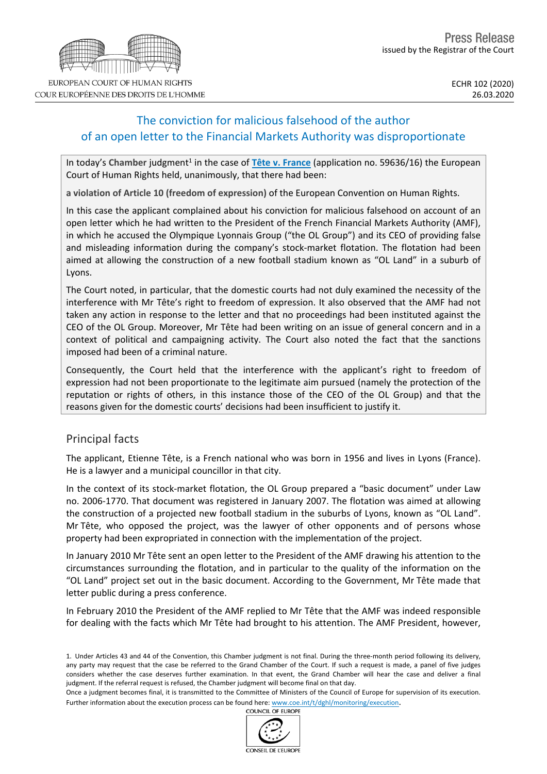## The conviction for malicious falsehood of the author of an open letter to the Financial Markets Authority was disproportionate

In today's Chamber judgment<sup>1</sup> in the case of **Tête v. [France](http://hudoc.echr.coe.int/eng?i=001-201899)** (application no. 59636/16) the European Court of Human Rights held, unanimously, that there had been:

**a violation of Article 10 (freedom of expression)** of the European Convention on Human Rights.

In this case the applicant complained about his conviction for malicious falsehood on account of an open letter which he had written to the President of the French Financial Markets Authority (AMF), in which he accused the Olympique Lyonnais Group ("the OL Group") and its CEO of providing false and misleading information during the company's stock-market flotation. The flotation had been aimed at allowing the construction of a new football stadium known as "OL Land" in a suburb of Lyons.

The Court noted, in particular, that the domestic courts had not duly examined the necessity of the interference with Mr Tête's right to freedom of expression. It also observed that the AMF had not taken any action in response to the letter and that no proceedings had been instituted against the CEO of the OL Group. Moreover, Mr Tête had been writing on an issue of general concern and in a context of political and campaigning activity. The Court also noted the fact that the sanctions imposed had been of a criminal nature.

Consequently, the Court held that the interference with the applicant's right to freedom of expression had not been proportionate to the legitimate aim pursued (namely the protection of the reputation or rights of others, in this instance those of the CEO of the OL Group) and that the reasons given for the domestic courts' decisions had been insufficient to justify it.

## Principal facts

The applicant, Etienne Tête, is a French national who was born in 1956 and lives in Lyons (France). He is a lawyer and a municipal councillor in that city.

In the context of its stock-market flotation, the OL Group prepared a "basic document" under Law no. 2006-1770. That document was registered in January 2007. The flotation was aimed at allowing the construction of a projected new football stadium in the suburbs of Lyons, known as "OL Land". Mr Tête, who opposed the project, was the lawyer of other opponents and of persons whose property had been expropriated in connection with the implementation of the project.

In January 2010 Mr Tête sent an open letter to the President of the AMF drawing his attention to the circumstances surrounding the flotation, and in particular to the quality of the information on the "OL Land" project set out in the basic document. According to the Government, Mr Tête made that letter public during a press conference.

In February 2010 the President of the AMF replied to Mr Tête that the AMF was indeed responsible for dealing with the facts which Mr Tête had brought to his attention. The AMF President, however,





COUR EUROPÉENNE DES DROITS DE L'HOMME

<sup>1.</sup> Under Articles 43 and 44 of the Convention, this Chamber judgment is not final. During the three-month period following its delivery, any party may request that the case be referred to the Grand Chamber of the Court. If such a request is made, a panel of five judges considers whether the case deserves further examination. In that event, the Grand Chamber will hear the case and deliver a final judgment. If the referral request is refused, the Chamber judgment will become final on that day.

Once a judgment becomes final, it is transmitted to the Committee of Ministers of the Council of Europe for supervision of its execution. Further information about the execution process can be found here: [www.coe.int/t/dghl/monitoring/execution](http://www.coe.int/t/dghl/monitoring/execution).<br>COUNCIL OF FUROPE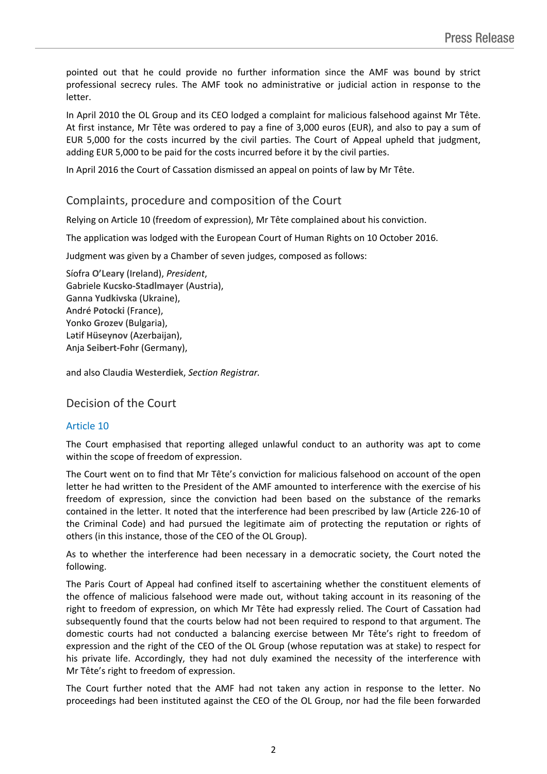pointed out that he could provide no further information since the AMF was bound by strict professional secrecy rules. The AMF took no administrative or judicial action in response to the letter.

In April 2010 the OL Group and its CEO lodged a complaint for malicious falsehood against Mr Tête. At first instance, Mr Tête was ordered to pay a fine of 3,000 euros (EUR), and also to pay a sum of EUR 5,000 for the costs incurred by the civil parties. The Court of Appeal upheld that judgment, adding EUR 5,000 to be paid for the costs incurred before it by the civil parties.

In April 2016 the Court of Cassation dismissed an appeal on points of law by Mr Tête.

### Complaints, procedure and composition of the Court

Relying on Article 10 (freedom of expression), Mr Tête complained about his conviction.

The application was lodged with the European Court of Human Rights on 10 October 2016.

Judgment was given by a Chamber of seven judges, composed as follows:

Síofra **O'Leary** (Ireland), *President*, Gabriele **Kucsko-Stadlmayer** (Austria), Ganna **Yudkivska** (Ukraine), André **Potocki** (France), Yonko **Grozev** (Bulgaria), Lәtif **Hüseynov** (Azerbaijan), Anja **Seibert-Fohr** (Germany),

and also Claudia **Westerdiek**, *Section Registrar.*

Decision of the Court

### Article 10

The Court emphasised that reporting alleged unlawful conduct to an authority was apt to come within the scope of freedom of expression.

The Court went on to find that Mr Tête's conviction for malicious falsehood on account of the open letter he had written to the President of the AMF amounted to interference with the exercise of his freedom of expression, since the conviction had been based on the substance of the remarks contained in the letter. It noted that the interference had been prescribed by law (Article 226-10 of the Criminal Code) and had pursued the legitimate aim of protecting the reputation or rights of others (in this instance, those of the CEO of the OL Group).

As to whether the interference had been necessary in a democratic society, the Court noted the following.

The Paris Court of Appeal had confined itself to ascertaining whether the constituent elements of the offence of malicious falsehood were made out, without taking account in its reasoning of the right to freedom of expression, on which Mr Tête had expressly relied. The Court of Cassation had subsequently found that the courts below had not been required to respond to that argument. The domestic courts had not conducted a balancing exercise between Mr Tête's right to freedom of expression and the right of the CEO of the OL Group (whose reputation was at stake) to respect for his private life. Accordingly, they had not duly examined the necessity of the interference with Mr Tête's right to freedom of expression.

The Court further noted that the AMF had not taken any action in response to the letter. No proceedings had been instituted against the CEO of the OL Group, nor had the file been forwarded